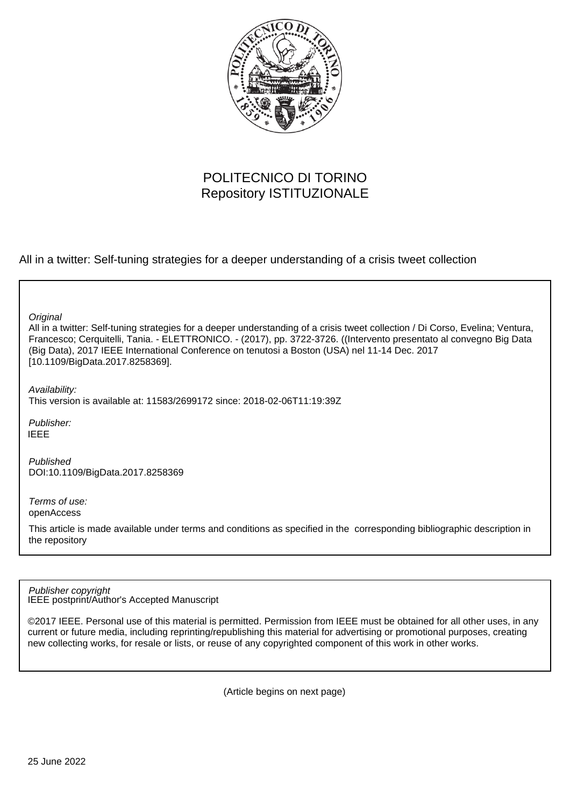

# POLITECNICO DI TORINO Repository ISTITUZIONALE

All in a twitter: Self-tuning strategies for a deeper understanding of a crisis tweet collection

**Original** 

All in a twitter: Self-tuning strategies for a deeper understanding of a crisis tweet collection / Di Corso, Evelina; Ventura, Francesco; Cerquitelli, Tania. - ELETTRONICO. - (2017), pp. 3722-3726. ((Intervento presentato al convegno Big Data (Big Data), 2017 IEEE International Conference on tenutosi a Boston (USA) nel 11-14 Dec. 2017 [10.1109/BigData.2017.8258369].

Availability: This version is available at: 11583/2699172 since: 2018-02-06T11:19:39Z

Publisher: IEEE

Published DOI:10.1109/BigData.2017.8258369

Terms of use: openAccess

This article is made available under terms and conditions as specified in the corresponding bibliographic description in the repository

IEEE postprint/Author's Accepted Manuscript Publisher copyright

©2017 IEEE. Personal use of this material is permitted. Permission from IEEE must be obtained for all other uses, in any current or future media, including reprinting/republishing this material for advertising or promotional purposes, creating new collecting works, for resale or lists, or reuse of any copyrighted component of this work in other works.

(Article begins on next page)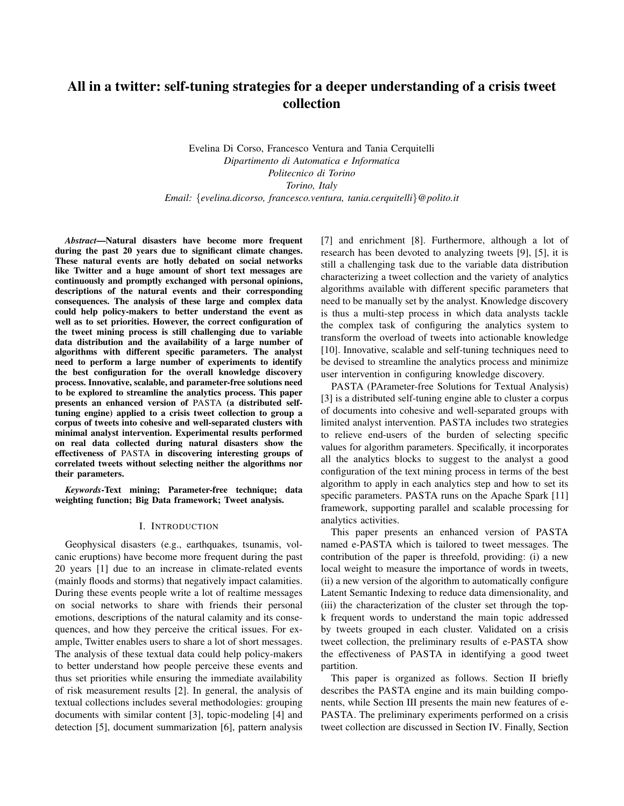## All in a twitter: self-tuning strategies for a deeper understanding of a crisis tweet collection

Evelina Di Corso, Francesco Ventura and Tania Cerquitelli *Dipartimento di Automatica e Informatica Politecnico di Torino Torino, Italy Email:* {*evelina.dicorso, francesco.ventura, tania.cerquitelli*}*@polito.it*

*Abstract*—Natural disasters have become more frequent during the past 20 years due to significant climate changes. These natural events are hotly debated on social networks like Twitter and a huge amount of short text messages are continuously and promptly exchanged with personal opinions, descriptions of the natural events and their corresponding consequences. The analysis of these large and complex data could help policy-makers to better understand the event as well as to set priorities. However, the correct configuration of the tweet mining process is still challenging due to variable data distribution and the availability of a large number of algorithms with different specific parameters. The analyst need to perform a large number of experiments to identify the best configuration for the overall knowledge discovery process. Innovative, scalable, and parameter-free solutions need to be explored to streamline the analytics process. This paper presents an enhanced version of PASTA (a distributed selftuning engine) applied to a crisis tweet collection to group a corpus of tweets into cohesive and well-separated clusters with minimal analyst intervention. Experimental results performed on real data collected during natural disasters show the effectiveness of PASTA in discovering interesting groups of correlated tweets without selecting neither the algorithms nor their parameters.

*Keywords*-Text mining; Parameter-free technique; data weighting function; Big Data framework; Tweet analysis.

#### I. INTRODUCTION

Geophysical disasters (e.g., earthquakes, tsunamis, volcanic eruptions) have become more frequent during the past 20 years [1] due to an increase in climate-related events (mainly floods and storms) that negatively impact calamities. During these events people write a lot of realtime messages on social networks to share with friends their personal emotions, descriptions of the natural calamity and its consequences, and how they perceive the critical issues. For example, Twitter enables users to share a lot of short messages. The analysis of these textual data could help policy-makers to better understand how people perceive these events and thus set priorities while ensuring the immediate availability of risk measurement results [2]. In general, the analysis of textual collections includes several methodologies: grouping documents with similar content [3], topic-modeling [4] and detection [5], document summarization [6], pattern analysis [7] and enrichment [8]. Furthermore, although a lot of research has been devoted to analyzing tweets [9], [5], it is still a challenging task due to the variable data distribution characterizing a tweet collection and the variety of analytics algorithms available with different specific parameters that need to be manually set by the analyst. Knowledge discovery is thus a multi-step process in which data analysts tackle the complex task of configuring the analytics system to transform the overload of tweets into actionable knowledge [10]. Innovative, scalable and self-tuning techniques need to be devised to streamline the analytics process and minimize user intervention in configuring knowledge discovery.

PASTA (PArameter-free Solutions for Textual Analysis) [3] is a distributed self-tuning engine able to cluster a corpus of documents into cohesive and well-separated groups with limited analyst intervention. PASTA includes two strategies to relieve end-users of the burden of selecting specific values for algorithm parameters. Specifically, it incorporates all the analytics blocks to suggest to the analyst a good configuration of the text mining process in terms of the best algorithm to apply in each analytics step and how to set its specific parameters. PASTA runs on the Apache Spark [11] framework, supporting parallel and scalable processing for analytics activities.

This paper presents an enhanced version of PASTA named e-PASTA which is tailored to tweet messages. The contribution of the paper is threefold, providing: (i) a new local weight to measure the importance of words in tweets, (ii) a new version of the algorithm to automatically configure Latent Semantic Indexing to reduce data dimensionality, and (iii) the characterization of the cluster set through the topk frequent words to understand the main topic addressed by tweets grouped in each cluster. Validated on a crisis tweet collection, the preliminary results of e-PASTA show the effectiveness of PASTA in identifying a good tweet partition.

This paper is organized as follows. Section II briefly describes the PASTA engine and its main building components, while Section III presents the main new features of e-PASTA. The preliminary experiments performed on a crisis tweet collection are discussed in Section IV. Finally, Section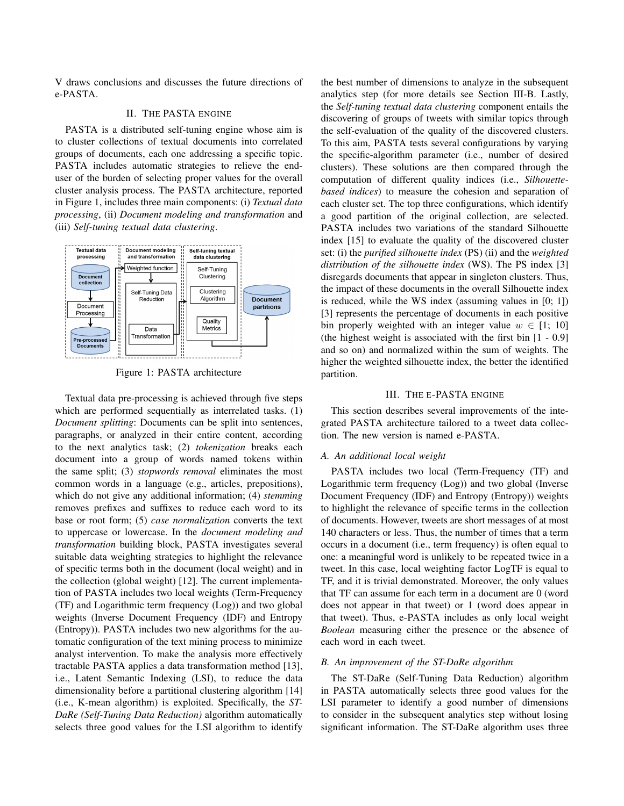V draws conclusions and discusses the future directions of e-PASTA.

## II. THE PASTA ENGINE

PASTA is a distributed self-tuning engine whose aim is to cluster collections of textual documents into correlated groups of documents, each one addressing a specific topic. PASTA includes automatic strategies to relieve the enduser of the burden of selecting proper values for the overall cluster analysis process. The PASTA architecture, reported in Figure 1, includes three main components: (i) *Textual data processing*, (ii) *Document modeling and transformation* and (iii) *Self-tuning textual data clustering*.



Figure 1: PASTA architecture

Textual data pre-processing is achieved through five steps which are performed sequentially as interrelated tasks. (1) *Document splitting*: Documents can be split into sentences, paragraphs, or analyzed in their entire content, according to the next analytics task; (2) *tokenization* breaks each document into a group of words named tokens within the same split; (3) *stopwords removal* eliminates the most common words in a language (e.g., articles, prepositions), which do not give any additional information; (4) *stemming* removes prefixes and suffixes to reduce each word to its base or root form; (5) *case normalization* converts the text to uppercase or lowercase. In the *document modeling and transformation* building block, PASTA investigates several suitable data weighting strategies to highlight the relevance of specific terms both in the document (local weight) and in the collection (global weight) [12]. The current implementation of PASTA includes two local weights (Term-Frequency (TF) and Logarithmic term frequency (Log)) and two global weights (Inverse Document Frequency (IDF) and Entropy (Entropy)). PASTA includes two new algorithms for the automatic configuration of the text mining process to minimize analyst intervention. To make the analysis more effectively tractable PASTA applies a data transformation method [13], i.e., Latent Semantic Indexing (LSI), to reduce the data dimensionality before a partitional clustering algorithm [14] (i.e., K-mean algorithm) is exploited. Specifically, the *ST-DaRe (Self-Tuning Data Reduction)* algorithm automatically selects three good values for the LSI algorithm to identify the best number of dimensions to analyze in the subsequent analytics step (for more details see Section III-B. Lastly, the *Self-tuning textual data clustering* component entails the discovering of groups of tweets with similar topics through the self-evaluation of the quality of the discovered clusters. To this aim, PASTA tests several configurations by varying the specific-algorithm parameter (i.e., number of desired clusters). These solutions are then compared through the computation of different quality indices (i.e., *Silhouettebased indices*) to measure the cohesion and separation of each cluster set. The top three configurations, which identify a good partition of the original collection, are selected. PASTA includes two variations of the standard Silhouette index [15] to evaluate the quality of the discovered cluster set: (i) the *purified silhouette index* (PS) (ii) and the *weighted distribution of the silhouette index* (WS). The PS index [3] disregards documents that appear in singleton clusters. Thus, the impact of these documents in the overall Silhouette index is reduced, while the WS index (assuming values in [0; 1]) [3] represents the percentage of documents in each positive bin properly weighted with an integer value  $w \in [1; 10]$ (the highest weight is associated with the first bin [1 - 0.9] and so on) and normalized within the sum of weights. The higher the weighted silhouette index, the better the identified partition.

#### III. THE E-PASTA ENGINE

This section describes several improvements of the integrated PASTA architecture tailored to a tweet data collection. The new version is named e-PASTA.

#### *A. An additional local weight*

PASTA includes two local (Term-Frequency (TF) and Logarithmic term frequency (Log)) and two global (Inverse Document Frequency (IDF) and Entropy (Entropy)) weights to highlight the relevance of specific terms in the collection of documents. However, tweets are short messages of at most 140 characters or less. Thus, the number of times that a term occurs in a document (i.e., term frequency) is often equal to one: a meaningful word is unlikely to be repeated twice in a tweet. In this case, local weighting factor LogTF is equal to TF, and it is trivial demonstrated. Moreover, the only values that TF can assume for each term in a document are 0 (word does not appear in that tweet) or 1 (word does appear in that tweet). Thus, e-PASTA includes as only local weight *Boolean* measuring either the presence or the absence of each word in each tweet.

## *B. An improvement of the ST-DaRe algorithm*

The ST-DaRe (Self-Tuning Data Reduction) algorithm in PASTA automatically selects three good values for the LSI parameter to identify a good number of dimensions to consider in the subsequent analytics step without losing significant information. The ST-DaRe algorithm uses three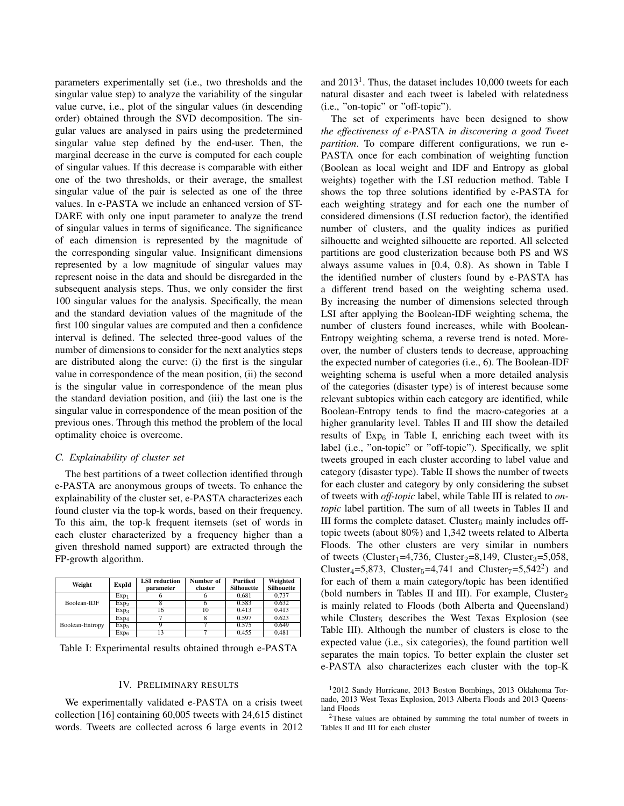parameters experimentally set (i.e., two thresholds and the singular value step) to analyze the variability of the singular value curve, i.e., plot of the singular values (in descending order) obtained through the SVD decomposition. The singular values are analysed in pairs using the predetermined singular value step defined by the end-user. Then, the marginal decrease in the curve is computed for each couple of singular values. If this decrease is comparable with either one of the two thresholds, or their average, the smallest singular value of the pair is selected as one of the three values. In e-PASTA we include an enhanced version of ST-DARE with only one input parameter to analyze the trend of singular values in terms of significance. The significance of each dimension is represented by the magnitude of the corresponding singular value. Insignificant dimensions represented by a low magnitude of singular values may represent noise in the data and should be disregarded in the subsequent analysis steps. Thus, we only consider the first 100 singular values for the analysis. Specifically, the mean and the standard deviation values of the magnitude of the first 100 singular values are computed and then a confidence interval is defined. The selected three-good values of the number of dimensions to consider for the next analytics steps are distributed along the curve: (i) the first is the singular value in correspondence of the mean position, (ii) the second is the singular value in correspondence of the mean plus the standard deviation position, and (iii) the last one is the singular value in correspondence of the mean position of the previous ones. Through this method the problem of the local optimality choice is overcome.

## *C. Explainability of cluster set*

The best partitions of a tweet collection identified through e-PASTA are anonymous groups of tweets. To enhance the explainability of the cluster set, e-PASTA characterizes each found cluster via the top-k words, based on their frequency. To this aim, the top-k frequent itemsets (set of words in each cluster characterized by a frequency higher than a given threshold named support) are extracted through the FP-growth algorithm.

| Weight          | ExpId            | <b>LSI</b> reduction<br>parameter | Number of<br>cluster | Purified<br>Silhouette | Weighted<br><b>Silhouette</b> |
|-----------------|------------------|-----------------------------------|----------------------|------------------------|-------------------------------|
|                 | Exp <sub>1</sub> |                                   | n                    | 0.681                  | 0.737                         |
| Boolean-IDF     | Exp <sub>2</sub> |                                   |                      | 0.583                  | 0.632                         |
|                 | Exp <sub>3</sub> | 16                                | 10                   | 0.413                  | 0.413                         |
|                 | Exp <sub>4</sub> |                                   |                      | 0.597                  | 0.623                         |
| Boolean-Entropy | Exp <sub>5</sub> |                                   |                      | 0.575                  | 0.649                         |
|                 | Exp <sub>6</sub> | 13                                |                      | 0.455                  | 0.481                         |

Table I: Experimental results obtained through e-PASTA

## IV. PRELIMINARY RESULTS

We experimentally validated e-PASTA on a crisis tweet collection [16] containing 60,005 tweets with 24,615 distinct words. Tweets are collected across 6 large events in 2012

and  $2013<sup>1</sup>$ . Thus, the dataset includes 10,000 tweets for each natural disaster and each tweet is labeled with relatedness (i.e., "on-topic" or "off-topic").

The set of experiments have been designed to show *the effectiveness of e-*PASTA *in discovering a good Tweet partition*. To compare different configurations, we run e-PASTA once for each combination of weighting function (Boolean as local weight and IDF and Entropy as global weights) together with the LSI reduction method. Table I shows the top three solutions identified by e-PASTA for each weighting strategy and for each one the number of considered dimensions (LSI reduction factor), the identified number of clusters, and the quality indices as purified silhouette and weighted silhouette are reported. All selected partitions are good clusterization because both PS and WS always assume values in [0.4, 0.8). As shown in Table I the identified number of clusters found by e-PASTA has a different trend based on the weighting schema used. By increasing the number of dimensions selected through LSI after applying the Boolean-IDF weighting schema, the number of clusters found increases, while with Boolean-Entropy weighting schema, a reverse trend is noted. Moreover, the number of clusters tends to decrease, approaching the expected number of categories (i.e., 6). The Boolean-IDF weighting schema is useful when a more detailed analysis of the categories (disaster type) is of interest because some relevant subtopics within each category are identified, while Boolean-Entropy tends to find the macro-categories at a higher granularity level. Tables II and III show the detailed results of  $Exp_6$  in Table I, enriching each tweet with its label (i.e., "on-topic" or "off-topic"). Specifically, we split tweets grouped in each cluster according to label value and category (disaster type). Table II shows the number of tweets for each cluster and category by only considering the subset of tweets with *off-topic* label, while Table III is related to *ontopic* label partition. The sum of all tweets in Tables II and III forms the complete dataset. Cluster<sub>6</sub> mainly includes offtopic tweets (about 80%) and 1,342 tweets related to Alberta Floods. The other clusters are very similar in numbers of tweets (Cluster<sub>1</sub>=4,736, Cluster<sub>2</sub>=8,149, Cluster<sub>3</sub>=5,058, Cluster<sub>4</sub>=5,873, Cluster<sub>5</sub>=4,741 and Cluster<sub>7</sub>=5,542<sup>2</sup>) and for each of them a main category/topic has been identified (bold numbers in Tables II and III). For example,  $Cluster_2$ is mainly related to Floods (both Alberta and Queensland) while Cluster<sub>5</sub> describes the West Texas Explosion (see Table III). Although the number of clusters is close to the expected value (i.e., six categories), the found partition well separates the main topics. To better explain the cluster set e-PASTA also characterizes each cluster with the top-K

<sup>1</sup>2012 Sandy Hurricane, 2013 Boston Bombings, 2013 Oklahoma Tornado, 2013 West Texas Explosion, 2013 Alberta Floods and 2013 Queensland Floods

<sup>2</sup>These values are obtained by summing the total number of tweets in Tables II and III for each cluster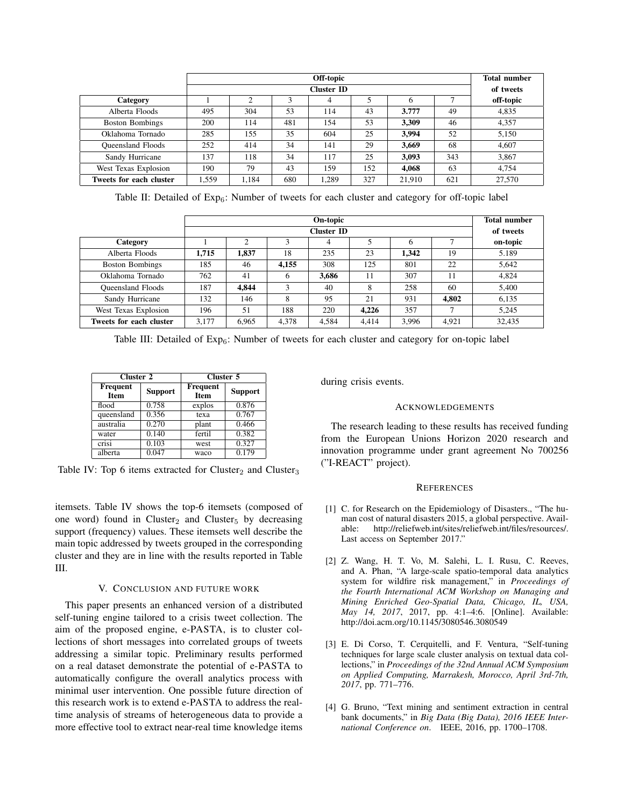|                          | Off-topic<br><b>Cluster ID</b> |       |     |       |     |        | <b>Total number</b> |           |
|--------------------------|--------------------------------|-------|-----|-------|-----|--------|---------------------|-----------|
|                          |                                |       |     |       |     |        | of tweets           |           |
| Category                 |                                | ◠     |     | 4     |     | 6      |                     | off-topic |
| Alberta Floods           | 495                            | 304   | 53  | 114   | 43  | 3.777  | 49                  | 4,835     |
| <b>Boston Bombings</b>   | 200                            | 114   | 481 | 154   | 53  | 3.309  | 46                  | 4,357     |
| Oklahoma Tornado         | 285                            | 155   | 35  | 604   | 25  | 3.994  | 52                  | 5,150     |
| <b>Oueensland Floods</b> | 252                            | 414   | 34  | 141   | 29  | 3.669  | 68                  | 4.607     |
| Sandy Hurricane          | 137                            | 118   | 34  | 117   | 25  | 3.093  | 343                 | 3,867     |
| West Texas Explosion     | 190                            | 79    | 43  | 159   | 152 | 4.068  | 63                  | 4.754     |
| Tweets for each cluster  | 1,559                          | 1.184 | 680 | 1,289 | 327 | 21.910 | 621                 | 27,570    |

Table II: Detailed of  $Exp_6$ : Number of tweets for each cluster and category for off-topic label

|                          | On-topic          |       |       |       |       | <b>Total number</b> |       |           |
|--------------------------|-------------------|-------|-------|-------|-------|---------------------|-------|-----------|
|                          | <b>Cluster ID</b> |       |       |       |       |                     |       | of tweets |
| Category                 |                   | 2     |       |       |       | O                   |       | on-topic  |
| Alberta Floods           | 1.715             | 1,837 | 18    | 235   | 23    | 1.342               | 19    | 5.189     |
| <b>Boston Bombings</b>   | 185               | 46    | 4.155 | 308   | 125   | 801                 | 22    | 5.642     |
| Oklahoma Tornado         | 762               | 41    | 6     | 3,686 | 11    | 307                 | 11    | 4.824     |
| <b>Oueensland Floods</b> | 187               | 4.844 | 3     | 40    | 8     | 258                 | 60    | 5.400     |
| Sandy Hurricane          | 132               | 146   | 8     | 95    | 21    | 931                 | 4.802 | 6,135     |
| West Texas Explosion     | 196               | 51    | 188   | 220   | 4.226 | 357                 | ⇁     | 5,245     |
| Tweets for each cluster  | 3.177             | 6.965 | 4.378 | 4.584 | 4.414 | 3.996               | 4.921 | 32,435    |

Table III: Detailed of  $Exp_6$ : Number of tweets for each cluster and category for on-topic label

| Cluster 2               |                | Cluster 5        |                |  |  |
|-------------------------|----------------|------------------|----------------|--|--|
| Frequent<br><b>Item</b> | <b>Support</b> | Frequent<br>Item | <b>Support</b> |  |  |
| flood                   | 0.758          | explos           | 0.876          |  |  |
| queensland              | 0.356          | texa             | 0.767          |  |  |
| australia               | 0.270          | plant            | 0.466          |  |  |
| water                   | 0.140          | fertil           | 0.382          |  |  |
| crisi                   | 0.103          | west             | 0.327          |  |  |
| alberta                 | 0.047          | waco             | 0.179          |  |  |

Table IV: Top 6 items extracted for Cluster<sub>2</sub> and Cluster<sub>3</sub>

itemsets. Table IV shows the top-6 itemsets (composed of one word) found in Cluster<sub>2</sub> and Cluster<sub>5</sub> by decreasing support (frequency) values. These itemsets well describe the main topic addressed by tweets grouped in the corresponding cluster and they are in line with the results reported in Table III.

## V. CONCLUSION AND FUTURE WORK

This paper presents an enhanced version of a distributed self-tuning engine tailored to a crisis tweet collection. The aim of the proposed engine, e-PASTA, is to cluster collections of short messages into correlated groups of tweets addressing a similar topic. Preliminary results performed on a real dataset demonstrate the potential of e-PASTA to automatically configure the overall analytics process with minimal user intervention. One possible future direction of this research work is to extend e-PASTA to address the realtime analysis of streams of heterogeneous data to provide a more effective tool to extract near-real time knowledge items during crisis events.

#### ACKNOWLEDGEMENTS

The research leading to these results has received funding from the European Unions Horizon 2020 research and innovation programme under grant agreement No 700256 ("I-REACT" project).

#### **REFERENCES**

- [1] C. for Research on the Epidemiology of Disasters., "The human cost of natural disasters 2015, a global perspective. Available: http://reliefweb.int/sites/reliefweb.int/files/resources/. Last access on September 2017."
- [2] Z. Wang, H. T. Vo, M. Salehi, L. I. Rusu, C. Reeves, and A. Phan, "A large-scale spatio-temporal data analytics system for wildfire risk management," in *Proceedings of the Fourth International ACM Workshop on Managing and Mining Enriched Geo-Spatial Data, Chicago, IL, USA, May 14, 2017*, 2017, pp. 4:1–4:6. [Online]. Available: http://doi.acm.org/10.1145/3080546.3080549
- [3] E. Di Corso, T. Cerquitelli, and F. Ventura, "Self-tuning techniques for large scale cluster analysis on textual data collections," in *Proceedings of the 32nd Annual ACM Symposium on Applied Computing, Marrakesh, Morocco, April 3rd-7th, 2017*, pp. 771–776.
- [4] G. Bruno, "Text mining and sentiment extraction in central bank documents," in *Big Data (Big Data), 2016 IEEE International Conference on*. IEEE, 2016, pp. 1700–1708.